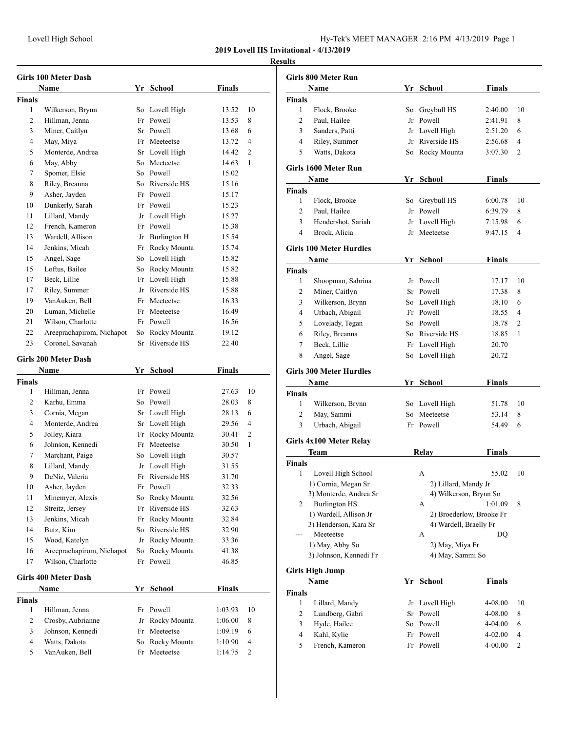## **Results**

|                    | <b>Girls 100 Meter Dash</b> |    |                 |               |                |
|--------------------|-----------------------------|----|-----------------|---------------|----------------|
|                    | Name                        |    | Yr School       | <b>Finals</b> |                |
| <b>Finals</b><br>1 | Wilkerson, Brynn            | So | Lovell High     | 13.52         | 10             |
| 2                  | Hillman, Jenna              | Fr | Powell          | 13.53         | 8              |
| 3                  | Miner, Caitlyn              | Sr | Powell          | 13.68         | 6              |
| 4                  | May, Miya                   | Fr | Meeteetse       | 13.72         | 4              |
| 5                  | Monterde, Andrea            |    | Sr Lovell High  | 14.42         | $\overline{2}$ |
| 6                  | May, Abby                   | So | Meeteetse       | 14.63         | 1              |
| 7                  | Spomer, Elsie               |    | So Powell       | 15.02         |                |
| 8                  | Riley, Breanna              |    | So Riverside HS | 15.16         |                |
| 9                  | Asher, Jayden               |    | Fr Powell       | 15.17         |                |
| 10                 | Dunkerly, Sarah             |    | Fr Powell       | 15.23         |                |
| 11                 | Lillard, Mandy              | Jr | Lovell High     | 15.27         |                |
| 12                 | French, Kameron             | Fr | Powell          | 15.38         |                |
| 13                 | Wardell, Allison            | Jr | Burlington H    | 15.54         |                |
| 14                 | Jenkins, Micah              | Fr | Rocky Mounta    | 15.74         |                |
| 15                 | Angel, Sage                 | So | Lovell High     | 15.82         |                |
| 15                 | Loftus, Bailee              | So | Rocky Mounta    | 15.82         |                |
| 17                 | Beck, Lillie                | Fr | Lovell High     | 15.88         |                |
| 17                 | Riley, Summer               | Jr | Riverside HS    | 15.88         |                |
| 19                 | VanAuken, Bell              | Fr | Meeteetse       | 16.33         |                |
| 20                 | Luman, Michelle             | Fr | Meeteetse       | 16.49         |                |
| 21                 | Wilson, Charlotte           |    | Fr Powell       | 16.56         |                |
| 22                 | Areeprachapirom, Nichapot   | So | Rocky Mounta    | 19.12         |                |
| 23                 | Coronel, Savanah            | Sr | Riverside HS    | 22.40         |                |
|                    |                             |    |                 |               |                |
|                    | <b>Girls 200 Meter Dash</b> |    |                 |               |                |
|                    | Name                        |    | Yr School       | <b>Finals</b> |                |
| <b>Finals</b><br>1 | Hillman, Jenna              |    | Fr Powell       | 27.63         | 10             |
| 2                  | Karhu, Emma                 | So | Powell          | 28.03         | 8              |
| 3                  | Cornia, Megan               | Sr | Lovell High     | 28.13         | 6              |
| 4                  | Monterde, Andrea            | Sr | Lovell High     | 29.56         | 4              |
| 5                  | Jolley, Kiara               | Fr | Rocky Mounta    | 30.41         | $\overline{2}$ |
| 6                  | Johnson, Kennedi            | Fr | Meeteetse       | 30.50         | 1              |
| 7                  | Marchant, Paige             | So | Lovell High     | 30.57         |                |
| 8                  | Lillard, Mandy              |    | Jr Lovell High  | 31.55         |                |
| 9                  | DeNiz, Valeria              |    | Fr Riverside HS | 31.70         |                |
| 10                 | Asher, Jayden               |    | Fr Powell       | 32.33         |                |
| 11                 | Minemyer, Alexis            | So | Rocky Mounta    | 32.56         |                |
| 12                 | Streitz, Jersey             | Fr | Riverside HS    | 32.63         |                |
| 13                 | Jenkins, Micah              | Fr | Rocky Mounta    | 32.84         |                |
| 14                 | Butz, Kim                   | So | Riverside HS    | 32.90         |                |
| 15                 | Wood, Katelyn               | Jr | Rocky Mounta    | 33.36         |                |
| 16                 | Areeprachapirom, Nichapot   | So | Rocky Mounta    | 41.38         |                |
| 17                 | Wilson, Charlotte           | Fr | Powell          | 46.85         |                |
|                    |                             |    |                 |               |                |
|                    | <b>Girls 400 Meter Dash</b> |    |                 |               |                |
|                    | Name                        | Yr | School          | <b>Finals</b> |                |
| <b>Finals</b><br>1 | Hillman, Jenna              | Fr | Powell          | 1:03.93       | 10             |
| $\overline{c}$     | Crosby, Aubrianne           | Jr | Rocky Mounta    | 1:06.00       | 8              |
| 3                  | Johnson, Kennedi            | Fr | Meeteetse       | 1:09.19       | 6              |
| 4                  | Watts, Dakota               | So | Rocky Mounta    | 1:10.90       | 4              |
|                    |                             |    |                 |               |                |
| 5                  | VanAuken, Bell              | Fr | Meeteetse       | 1:14.75       | 2              |

| Girls 800 Meter Run |                                                |                  |                             |                          |                |  |  |
|---------------------|------------------------------------------------|------------------|-----------------------------|--------------------------|----------------|--|--|
|                     | Name                                           |                  | Yr School                   | <b>Finals</b>            |                |  |  |
| <b>Finals</b>       |                                                |                  |                             |                          |                |  |  |
| 1                   | Flock, Brooke                                  |                  | So Greybull HS              | 2:40.00                  | 10             |  |  |
| 2                   | Paul, Hailee                                   |                  | Jr Powell                   | 2:41.91                  | 8              |  |  |
| 3                   | Sanders, Patti                                 |                  | Jr Lovell High              | 2:51.20                  | 6              |  |  |
| $\overline{4}$      | Riley, Summer                                  |                  | Jr Riverside HS             | 2:56.68                  | 4              |  |  |
| 5                   | Watts, Dakota                                  | So               | Rocky Mounta                | 3:07.30                  | 2              |  |  |
|                     |                                                |                  |                             |                          |                |  |  |
|                     | Girls 1600 Meter Run                           |                  |                             |                          |                |  |  |
|                     | Name                                           |                  | Yr School                   | <b>Finals</b>            |                |  |  |
| <b>Finals</b>       |                                                |                  |                             |                          |                |  |  |
| 1                   | Flock, Brooke                                  |                  | So Greybull HS              | 6:00.78                  | 10             |  |  |
| $\overline{2}$      | Paul, Hailee                                   |                  | Jr Powell                   | 6:39.79                  | 8              |  |  |
| 3                   | Hendershot, Sariah                             |                  | Jr Lovell High              | 7:15.98                  | 6              |  |  |
| 4                   | Brock, Alicia                                  |                  | Jr Meeteetse                | 9:47.15                  | 4              |  |  |
|                     | <b>Girls 100 Meter Hurdles</b>                 |                  |                             |                          |                |  |  |
|                     | Name                                           |                  | Yr School                   | <b>Finals</b>            |                |  |  |
| Finals              |                                                |                  |                             |                          |                |  |  |
| 1                   | Shoopman, Sabrina                              |                  | Jr Powell                   | 17.17                    | 10             |  |  |
| $\overline{c}$      | Miner, Caitlyn                                 |                  | Sr Powell                   | 17.38                    | 8              |  |  |
| 3                   | Wilkerson, Brynn                               |                  | So Lovell High              | 18.10                    | 6              |  |  |
|                     |                                                |                  |                             |                          | 4              |  |  |
| 4                   | Urbach, Abigail                                |                  | Fr Powell                   | 18.55                    |                |  |  |
| 5                   | Lovelady, Tegan                                |                  | So Powell                   | 18.78                    | $\overline{2}$ |  |  |
| 6                   | Riley, Breanna                                 |                  | So Riverside HS             | 18.85                    | 1              |  |  |
| 7                   | Beck, Lillie                                   |                  | Fr Lovell High              | 20.70                    |                |  |  |
| 8                   | Angel, Sage                                    |                  | So Lovell High              | 20.72                    |                |  |  |
|                     | <b>Girls 300 Meter Hurdles</b>                 |                  |                             |                          |                |  |  |
|                     | Name                                           |                  | Yr School                   | Finals                   |                |  |  |
| Finals              |                                                |                  |                             |                          |                |  |  |
| 1                   | Wilkerson, Brynn                               |                  | So Lovell High              | 51.78                    | 10             |  |  |
| 2                   | May, Sammi                                     | So               | Meeteetse                   | 53.14                    | 8              |  |  |
| 3                   | Urbach, Abigail                                |                  | Fr Powell                   | 54.49                    | 6              |  |  |
|                     |                                                |                  |                             |                          |                |  |  |
|                     | <b>Girls 4x100 Meter Relay</b>                 |                  |                             |                          |                |  |  |
|                     | Team                                           |                  | Relay                       | <b>Finals</b>            |                |  |  |
| Finals              |                                                |                  |                             |                          |                |  |  |
| 1                   | Lovell High School                             |                  | А                           | 55.02                    | 10             |  |  |
|                     | 1) Cornia, Megan Sr                            |                  | 2) Lillard, Mandy Jr        |                          |                |  |  |
|                     | 3) Monterde, Andrea Sr<br><b>Burlington HS</b> |                  | 4) Wilkerson, Brynn So      |                          |                |  |  |
| $\overline{2}$      |                                                |                  | A                           | 1:01.09                  | 8              |  |  |
|                     | 1) Wardell, Allison Jr                         |                  |                             | 2) Broederlow, Brooke Fr |                |  |  |
|                     | 3) Henderson, Kara Sr<br>Meeteetse             |                  | 4) Wardell, Braelly Fr<br>A | DQ                       |                |  |  |
|                     |                                                |                  |                             |                          |                |  |  |
|                     | 1) May, Abby So                                |                  | 2) May, Miya Fr             |                          |                |  |  |
|                     | 3) Johnson, Kennedi Fr                         | 4) May, Sammi So |                             |                          |                |  |  |
|                     | Girls High Jump                                |                  |                             |                          |                |  |  |
|                     | Name                                           |                  | Yr School                   | <b>Finals</b>            |                |  |  |
| <b>Finals</b>       |                                                |                  |                             |                          |                |  |  |
| 1                   | Lillard, Mandy                                 | Jr               | Lovell High                 | 4-08.00                  | 10             |  |  |
| 2                   | Lundberg, Gabri                                | Sr               | Powell                      | 4-08.00                  | 8              |  |  |
| 3                   | Hyde, Hailee                                   | So               | Powell                      | 4-04.00                  | 6              |  |  |
| $\overline{4}$      | Kahl, Kylie                                    | Fr               | Powell                      | 4-02.00                  | $\overline{4}$ |  |  |
| 5                   | French, Kameron                                | Fr               | Powell                      | 4-00.00                  | 2              |  |  |
|                     |                                                |                  |                             |                          |                |  |  |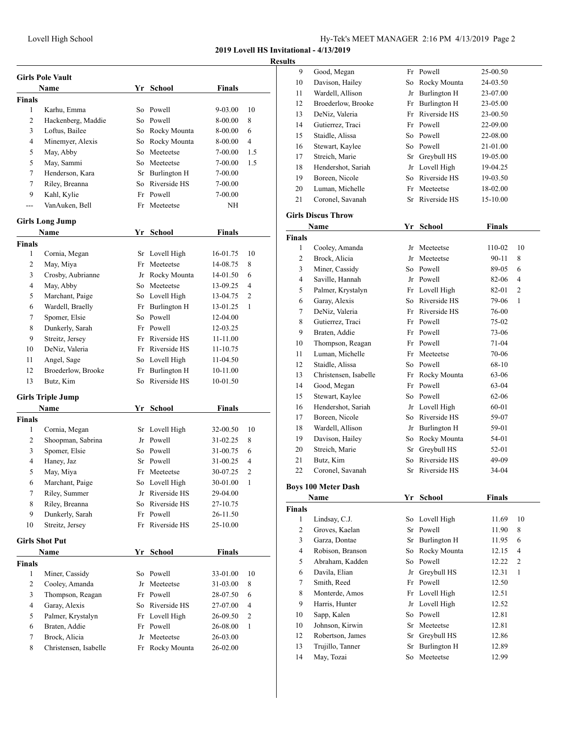**Result** 

|               | <b>Girls Pole Vault</b>  |    |                 |               |                |
|---------------|--------------------------|----|-----------------|---------------|----------------|
|               | <b>Name</b>              |    | Yr School       | <b>Finals</b> |                |
| <b>Finals</b> |                          |    |                 |               |                |
| 1             | Karhu, Emma              | So | Powell          | 9-03.00       | 10             |
| 2             | Hackenberg, Maddie       | So | Powell          | 8-00.00       | 8              |
| 3             | Loftus, Bailee           |    | So Rocky Mounta | 8-00.00       | 6              |
| 4             | Minemyer, Alexis         |    | So Rocky Mounta | 8-00.00       | 4              |
| 5             | May, Abby                | So | Meeteetse       | 7-00.00       | 1.5            |
| 5             | May, Sammi               |    | So Meeteetse    | 7-00.00       | 1.5            |
| 7             | Henderson, Kara          |    | Sr Burlington H | 7-00.00       |                |
| 7             | Riley, Breanna           | So | Riverside HS    | 7-00.00       |                |
| 9             | Kahl, Kylie              |    | Fr Powell       | 7-00.00       |                |
|               | VanAuken, Bell           | Fr | Meeteetse       | NΗ            |                |
|               | <b>Girls Long Jump</b>   |    |                 |               |                |
|               | <b>Name</b>              |    | Yr School       | <b>Finals</b> |                |
| <b>Finals</b> |                          |    |                 |               |                |
| 1             | Cornia, Megan            |    | Sr Lovell High  | 16-01.75      | 10             |
| 2             | May, Miya                | Fr | Meeteetse       | 14-08.75      | 8              |
| 3             | Crosby, Aubrianne        |    | Jr Rocky Mounta | 14-01.50      | 6              |
| 4             | May, Abby                |    | So Meeteetse    | 13-09.25      | 4              |
| 5             | Marchant, Paige          |    | So Lovell High  | 13-04.75      | 2              |
| 6             | Wardell, Braelly         |    | Fr Burlington H | 13-01.25      | 1              |
| 7             | Spomer, Elsie            | So | Powell          | 12-04.00      |                |
| 8             | Dunkerly, Sarah          |    | Fr Powell       | 12-03.25      |                |
| 9             | Streitz, Jersey          |    | Fr Riverside HS | 11-11.00      |                |
| 10            | DeNiz, Valeria           |    | Fr Riverside HS | 11-10.75      |                |
| 11            | Angel, Sage              |    | So Lovell High  | 11-04.50      |                |
| 12            | Broederlow, Brooke       | Fr | Burlington H    | 10-11.00      |                |
| 13            | Butz, Kim                | So | Riverside HS    | 10-01.50      |                |
|               | <b>Girls Triple Jump</b> |    |                 |               |                |
|               | Name                     |    | Yr School       | <b>Finals</b> |                |
| <b>Finals</b> |                          |    |                 |               |                |
| 1             | Cornia, Megan            |    | Sr Lovell High  | 32-00.50      | 10             |
| 2             | Shoopman, Sabrina        |    | Jr Powell       | 31-02.25      | 8              |
| 3             | Spomer, Elsie            |    | So Powell       | 31-00.75      | 6              |
| 4             | Haney, Jaz               |    | Sr Powell       | 31-00.25      | 4              |
| 5             | May, Miya                |    | Fr Meeteetse    | 30-07.25      | $\overline{c}$ |
| 6             | Marchant, Paige          |    | So Lovell High  | 30-01.00      | 1              |
| 7             | Riley, Summer            | Jr | Riverside HS    | 29-04.00      |                |
| 8             | Riley, Breanna           | So | Riverside HS    | 27-10.75      |                |
| 9             | Dunkerly, Sarah          | Fr | Powell          | 26-11.50      |                |
| 10            | Streitz, Jersey          | Fr | Riverside HS    | 25-10.00      |                |
|               | <b>Girls Shot Put</b>    |    |                 |               |                |
|               | Name                     |    | Yr School       | <b>Finals</b> |                |
| <b>Finals</b> |                          |    |                 |               |                |
| 1             | Miner, Cassidy           |    | So Powell       | 33-01.00      | 10             |
| 2             | Cooley, Amanda           | Jr | Meeteetse       | 31-03.00      | 8              |
| 3             | Thompson, Reagan         |    | Fr Powell       | 28-07.50      | 6              |
| 4             | Garay, Alexis            | So | Riverside HS    | 27-07.00      | 4              |
| 5             | Palmer, Krystalyn        | Fr | Lovell High     | 26-09.50      | 2              |
| 6             | Braten, Addie            | Fr | Powell          | 26-08.00      | 1              |
| 7             | Brock, Alicia            | Jr | Meeteetse       | 26-03.00      |                |
|               |                          |    |                 |               |                |

| lts |                    |    |                 |          |
|-----|--------------------|----|-----------------|----------|
| 9   | Good, Megan        |    | Fr Powell       | 25-00.50 |
| 10  | Davison, Hailey    |    | So Rocky Mounta | 24-03.50 |
| 11  | Wardell, Allison   | Jr | Burlington H    | 23-07.00 |
| 12  | Broederlow, Brooke |    | Fr Burlington H | 23-05.00 |
| 13  | DeNiz, Valeria     |    | Fr Riverside HS | 23-00.50 |
| 14  | Gutierrez, Traci   |    | Fr Powell       | 22-09.00 |
| 15  | Staidle, Alissa    |    | So Powell       | 22-08.00 |
| 16  | Stewart, Kaylee    |    | So Powell       | 21-01.00 |
| 17  | Streich, Marie     |    | Sr Greybull HS  | 19-05.00 |
| 18  | Hendershot, Sariah |    | Jr Lovell High  | 19-04.25 |
| 19  | Boreen, Nicole     | So | Riverside HS    | 19-03.50 |
| 20  | Luman, Michelle    |    | Fr Meeteetse    | 18-02.00 |
| 21  | Coronel, Savanah   |    | Sr Riverside HS | 15-10.00 |
|     |                    |    |                 |          |

## **Girls Discus Throw**

| Name           |                            |     | Yr School           | <b>Finals</b> |                          |
|----------------|----------------------------|-----|---------------------|---------------|--------------------------|
| <b>Finals</b>  |                            |     |                     |               |                          |
| 1              | Cooley, Amanda             |     | Jr Meeteetse        | 110-02        | 10                       |
| $\overline{c}$ | Brock, Alicia              |     | Jr Meeteetse        | 90-11         | 8                        |
| 3              | Miner, Cassidy             |     | So Powell           | 89-05         | 6                        |
| $\overline{4}$ | Saville, Hannah            |     | Jr Powell           | 82-06         | $\overline{\mathcal{L}}$ |
| 5              | Palmer, Krystalyn          |     | Fr Lovell High      | 82-01         | $\overline{2}$           |
| 6              | Garay, Alexis              | So. | Riverside HS        | 79-06         | $\mathbf{1}$             |
| $\tau$         | DeNiz, Valeria             |     | Fr Riverside HS     | 76-00         |                          |
| 8              | Gutierrez, Traci           |     | Fr Powell           | 75-02         |                          |
| 9              | Braten, Addie              |     | Fr Powell           | 73-06         |                          |
| 10             | Thompson, Reagan           |     | Fr Powell           | 71-04         |                          |
| 11             | Luman, Michelle            |     | Fr Meeteetse        | 70-06         |                          |
| 12             | Staidle, Alissa            |     | So Powell           | 68-10         |                          |
| 13             | Christensen, Isabelle      | Fr  | Rocky Mounta        | 63-06         |                          |
| 14             | Good, Megan                |     | Fr Powell           | $63-04$       |                          |
| 15             | Stewart, Kaylee            |     | So Powell           | 62-06         |                          |
| 16             | Hendershot, Sariah         |     | Jr Lovell High      | 60-01         |                          |
| 17             | Boreen, Nicole             | So. | Riverside HS        | 59-07         |                          |
| 18             | Wardell, Allison           |     | Jr Burlington H     | 59-01         |                          |
| 19             | Davison, Hailey            |     | So Rocky Mounta     | 54-01         |                          |
| 20             | Streich, Marie             |     | Sr Greybull HS      | 52-01         |                          |
| 21             | Butz, Kim                  | So. | Riverside HS        | 49-09         |                          |
| 22             | Coronel, Savanah           |     | Sr Riverside HS     | 34-04         |                          |
|                | <b>Boys 100 Meter Dash</b> |     |                     |               |                          |
|                | Name                       |     | Yr School           | <b>Finals</b> |                          |
| <b>Finals</b>  |                            |     |                     |               |                          |
| $\mathbf{1}$   | Lindsay, C.J.              |     | So Lovell High      | 11.69         | 10                       |
| 2              | Groves, Kaelan             |     | Sr Powell           | 11.90         | 8                        |
| 3              | Garza, Dontae              |     | Sr Burlington H     | 11.95         | 6                        |
| $\overline{4}$ | Robison, Branson           |     | So Rocky Mounta     | 12.15         | 4                        |
| 5              | Abraham, Kadden            | So  | Powell              | 12.22         | $\overline{c}$           |
| 6              | Davila, Elian              | Jr  | Greybull HS         | 12.31         | $\mathbf{1}$             |
| 7              | Smith, Reed                | Fr  | Powell              | 12.50         |                          |
| 8              | Monterde, Amos             |     | Fr Lovell High      | 12.51         |                          |
| 9              | Harris, Hunter             |     | Jr Lovell High      | 12.52         |                          |
| 10             | Sapp, Kalen                | So. | Powell              | 12.81         |                          |
| 10             | Johnson, Kirwin            |     | Sr Meeteetse        | 12.81         |                          |
| 12             | Robertson, James           |     | Sr Greybull HS      | 12.86         |                          |
| 13             | Trujillo, Tanner           | Sr  | <b>Burlington H</b> | 12.89         |                          |
| 14             | May, Tozai                 |     | So Meeteetse        | 12.99         |                          |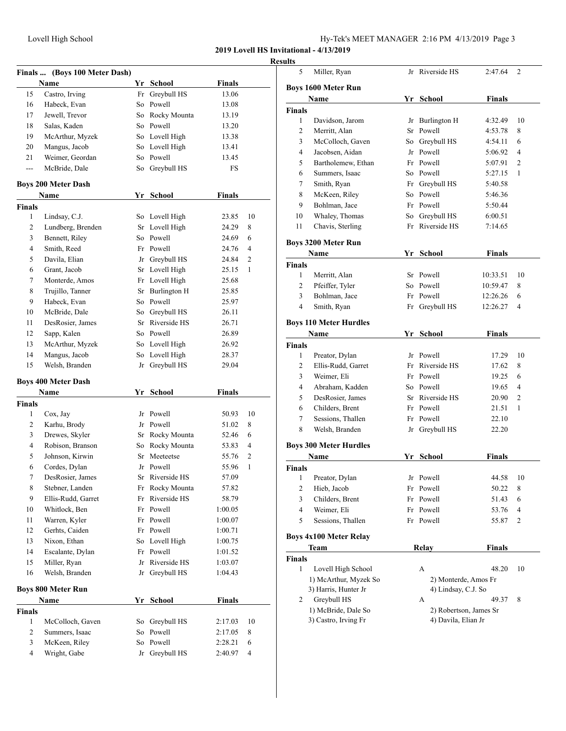| Hy-Tek's MEET MANAGER 2:16 PM 4/13/2019 Page 3 |  |  |  |
|------------------------------------------------|--|--|--|
|------------------------------------------------|--|--|--|

|               | Finals  (Boys 100 Meter Dash) |    |                 |                    |              |
|---------------|-------------------------------|----|-----------------|--------------------|--------------|
|               | Name                          |    | Yr School       | <b>Finals</b>      |              |
| 15            | Castro, Irving                | Fr | Greybull HS     | 13.06              |              |
| 16            | Habeck, Evan                  |    | So Powell       | 13.08              |              |
| 17            | Jewell, Trevor                |    | So Rocky Mounta | 13.19              |              |
| 18            | Salas, Kaden                  |    | So Powell       | 13.20              |              |
| 19            | McArthur, Myzek               |    | So Lovell High  | 13.38              |              |
| 20            | Mangus, Jacob                 |    | So Lovell High  | 13.41              |              |
| 21            | Weimer, Geordan               |    | So Powell       | 13.45              |              |
| ---           | McBride, Dale                 | So | Greybull HS     | FS                 |              |
|               | <b>Boys 200 Meter Dash</b>    |    |                 |                    |              |
|               | Name                          | Yr | School          | <b>Finals</b>      |              |
| <b>Finals</b> |                               |    |                 |                    |              |
| 1             | Lindsay, C.J.                 |    | So Lovell High  | 23.85              | 10           |
| 2             | Lundberg, Brenden             | Sr | Lovell High     | 24.29              | 8            |
| 3             | Bennett, Riley                | So | Powell          | 24.69              | 6            |
| 4             | Smith, Reed                   |    | Fr Powell       | 24.76              | 4            |
| 5             | Davila, Elian                 |    | Jr Greybull HS  | 24.84              | 2            |
| 6             | Grant, Jacob                  |    | Sr Lovell High  | 25.15              | $\mathbf{1}$ |
| 7             | Monterde, Amos                |    | Fr Lovell High  | 25.68              |              |
| 8             | Trujillo, Tanner              |    | Sr Burlington H | 25.85              |              |
| 9             | Habeck, Evan                  |    | So Powell       | 25.97              |              |
| 10            | McBride, Dale                 |    | So Greybull HS  | 26.11              |              |
| 11            | DesRosier, James              |    | Sr Riverside HS | 26.71              |              |
| 12            | Sapp, Kalen                   |    | So Powell       | 26.89              |              |
| 13            | McArthur, Myzek               |    | So Lovell High  | 26.92              |              |
| 14            | Mangus, Jacob                 | So | Lovell High     | 28.37              |              |
| 15            | Welsh, Branden                | Jr | Greybull HS     | 29.04              |              |
|               | <b>Boys 400 Meter Dash</b>    |    |                 |                    |              |
|               | Name                          |    | Yr School       | Finals             |              |
| <b>Finals</b> |                               |    |                 |                    |              |
| 1             | Cox, Jay                      |    | Jr Powell       | 50.93              | 10           |
| 2             | Karhu, Brody                  |    | Jr Powell       | 51.02              | 8            |
| 3             | Drewes, Skyler                |    | Sr Rocky Mounta | 52.46              | 6            |
| 4             | Robison, Branson              |    | So Rocky Mounta | 53.83              | 4            |
| 5             | Johnson, Kirwin               |    | Sr Meeteetse    | 55.76              | 2            |
| 6             | Cordes, Dylan                 |    | Jr Powell       | 55.96              | 1            |
| 7             | DesRosier, James              | Sr | Riverside HS    | 57.09              |              |
| 8             | Stebner, Landen               | Fr | Rocky Mounta    | 57.82              |              |
| 9             | Ellis-Rudd, Garret            | Fr | Riverside HS    | 58.79              |              |
| 10            | Whitlock, Ben                 |    | Fr Powell       |                    |              |
| 11            | Warren, Kyler                 |    | Fr Powell       | 1:00.05<br>1:00.07 |              |
| 12            | Gerhts, Caiden                |    | Powell          |                    |              |
|               |                               | Fr |                 | 1:00.71            |              |
| 13            | Nixon, Ethan                  | So | Lovell High     | 1:00.75            |              |
| 14            | Escalante, Dylan              | Fr | Powell          | 1:01.52            |              |
| 15            | Miller, Ryan                  | Jr | Riverside HS    | 1:03.07            |              |
| 16            | Welsh, Branden                | Jr | Greybull HS     | 1:04.43            |              |
|               | <b>Boys 800 Meter Run</b>     |    |                 |                    |              |
|               | Name                          | Yr | <b>School</b>   | <b>Finals</b>      |              |
| <b>Finals</b> |                               |    |                 |                    |              |
| 1             | McColloch, Gaven              | So | Greybull HS     | 2:17.03            | 10           |
| 2             | Summers, Isaac                | So | Powell          | 2:17.05            | 8            |
| 3             | McKeen, Riley                 | So | Powell          | 2:28.21            | 6            |
| 4             | Wright, Gabe                  | Jr | Greybull HS     | 2:40.97            | 4            |

| 5              | Miller, Ryan                          |    | Jr Riverside HS        | 2:47.64       | 2              |
|----------------|---------------------------------------|----|------------------------|---------------|----------------|
|                | <b>Boys 1600 Meter Run</b>            |    |                        |               |                |
|                | Name                                  |    | Yr School              | Finals        |                |
| <b>Finals</b>  |                                       |    |                        |               |                |
| 1              | Davidson, Jarom                       |    | Jr Burlington H        | 4:32.49       | 10             |
| 2              | Merritt, Alan                         |    | Sr Powell              | 4:53.78       | 8              |
| 3              | McColloch, Gaven                      |    | So Greybull HS         | 4:54.11       | 6              |
| 4              | Jacobsen, Aidan                       |    | Jr Powell              | 5:06.92       | 4              |
| 5              | Bartholemew, Ethan                    |    | Fr Powell              | 5:07.91       | $\overline{c}$ |
| 6              | Summers, Isaac                        |    | So Powell              | 5:27.15       | 1              |
| 7              | Smith, Ryan                           |    | Fr Greybull HS         | 5:40.58       |                |
| 8              | McKeen, Riley                         |    | So Powell              | 5:46.36       |                |
| 9              | Bohlman, Jace                         |    | Fr Powell              | 5:50.44       |                |
| 10             | Whaley, Thomas                        |    | So Greybull HS         | 6:00.51       |                |
| 11             | Chavis, Sterling                      |    | Fr Riverside HS        | 7:14.65       |                |
|                |                                       |    |                        |               |                |
|                | <b>Boys 3200 Meter Run</b><br>Name    |    | Yr School              | <b>Finals</b> |                |
| <b>Finals</b>  |                                       |    |                        |               |                |
| 1              | Merritt, Alan                         |    | Sr Powell              | 10:33.51      | 10             |
| $\overline{c}$ | Pfeiffer, Tyler                       |    | So Powell              | 10:59.47      | 8              |
| 3              | Bohlman, Jace                         |    | Fr Powell              | 12:26.26      | 6              |
| $\overline{4}$ | Smith, Ryan                           |    | Fr Greybull HS         | 12:26.27      | 4              |
|                |                                       |    |                        |               |                |
|                | <b>Boys 110 Meter Hurdles</b><br>Name |    | Yr School              | <b>Finals</b> |                |
| <b>Finals</b>  |                                       |    |                        |               |                |
| 1              | Preator, Dylan                        |    | Jr Powell              | 17.29         | 10             |
| 2              | Ellis-Rudd, Garret                    |    | Fr Riverside HS        | 17.62         | 8              |
| 3              | Weimer, Eli                           |    | Fr Powell              | 19.25         | 6              |
| 4              | Abraham, Kadden                       |    | So Powell              | 19.65         | 4              |
| 5              | DesRosier, James                      |    | Sr Riverside HS        | 20.90         | 2              |
| 6              | Childers, Brent                       |    | Fr Powell              | 21.51         | 1              |
| 7              | Sessions, Thallen                     |    | Fr Powell              | 22.10         |                |
| 8              | Welsh, Branden                        |    | Jr Greybull HS         | 22.20         |                |
|                |                                       |    |                        |               |                |
|                | <b>Boys 300 Meter Hurdles</b><br>Name |    | Yr School              | Finals        |                |
| Finals         |                                       |    |                        |               |                |
| $\mathbf{1}$   | Preator, Dylan                        |    | Jr Powell              | 44.58         | 10             |
| 2              | Hieb, Jacob                           | Fr | Powell                 | 50.22         | 8              |
| 3              | Childers, Brent                       | Fr | Powell                 | 51.43         | 6              |
| 4              | Weimer, Eli                           | Fr | Powell                 | 53.76         | 4              |
| 5              | Sessions, Thallen                     |    | Fr Powell              | 55.87         | 2              |
|                | <b>Boys 4x100 Meter Relay</b>         |    |                        |               |                |
|                | <b>Team</b>                           |    | <b>Relay</b>           | <b>Finals</b> |                |
| <b>Finals</b>  |                                       |    |                        |               |                |
| 1              | Lovell High School                    |    | А                      | 48.20         | 10             |
|                | 1) McArthur, Myzek So                 |    | 2) Monterde, Amos Fr   |               |                |
|                | 3) Harris, Hunter Jr                  |    | 4) Lindsay, C.J. So    |               |                |
| 2              | Greybull HS                           |    | А                      | 49.37         | 8              |
|                | 1) McBride, Dale So                   |    | 2) Robertson, James Sr |               |                |
|                | 3) Castro, Irving Fr                  |    | 4) Davila, Elian Jr    |               |                |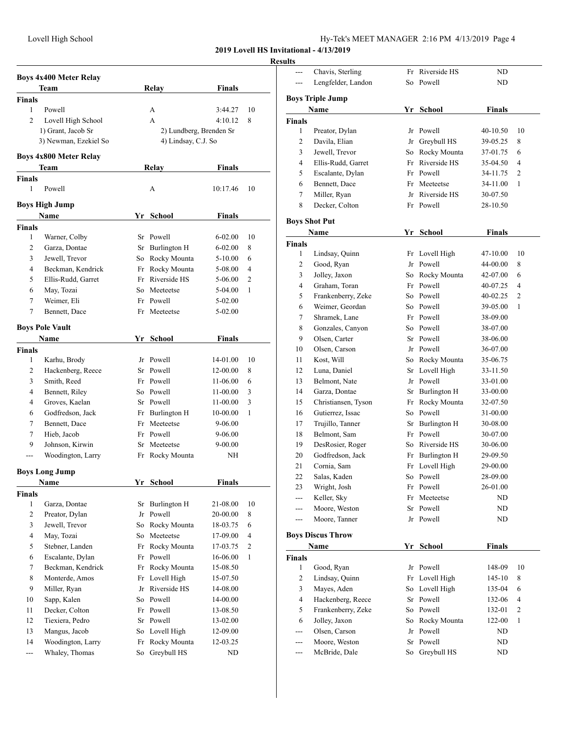| Hy-Tek's MEET MANAGER 2:16 PM 4/13/2019 Page 4 |  |  |  |
|------------------------------------------------|--|--|--|
|------------------------------------------------|--|--|--|

## **Results**

|                | <b>Boys 4x400 Meter Relay</b>      |    |                         |               |              |
|----------------|------------------------------------|----|-------------------------|---------------|--------------|
|                | Team                               |    | <b>Relay</b>            | <b>Finals</b> |              |
| <b>Finals</b>  |                                    |    |                         |               |              |
| 1              | Powell                             |    | A                       | 3:44.27       | 10           |
| $\overline{c}$ | Lovell High School                 |    | A                       | 4:10.12       | 8            |
|                | 1) Grant, Jacob Sr                 |    | 2) Lundberg, Brenden Sr |               |              |
|                | 3) Newman, Ezekiel So              |    | 4) Lindsay, C.J. So     |               |              |
|                |                                    |    |                         |               |              |
|                | Boys 4x800 Meter Relay             |    |                         |               |              |
|                | Team                               |    | Relay                   | <b>Finals</b> |              |
| Finals         |                                    |    |                         |               |              |
| 1              | Powell                             |    | А                       | 10:17.46      | 10           |
|                | <b>Boys High Jump</b>              |    |                         |               |              |
|                | <b>Name</b>                        | Yr | <b>School</b>           | <b>Finals</b> |              |
| <b>Finals</b>  |                                    |    |                         |               |              |
| 1              | Warner, Colby                      |    | Sr Powell               | $6 - 02.00$   | 10           |
| 2              | Garza, Dontae                      | Sr | Burlington H            | $6 - 02.00$   | 8            |
| 3              | Jewell, Trevor                     |    | So Rocky Mounta         | $5 - 10.00$   | 6            |
| 4              | Beckman, Kendrick                  |    | Fr Rocky Mounta         | 5-08.00       | 4            |
| 5              | Ellis-Rudd, Garret                 | Fr | Riverside HS            | 5-06.00       | 2            |
| 6              | May, Tozai                         |    | So Meeteetse            | 5-04.00       | 1            |
| 7              | Weimer, Eli                        | Fr | Powell                  | $5-02.00$     |              |
| 7              | Bennett, Dace                      | Fr | Meeteetse               | $5 - 02.00$   |              |
|                |                                    |    |                         |               |              |
|                | <b>Boys Pole Vault</b>             |    |                         |               |              |
|                | Name                               |    | Yr School               | Finals        |              |
| <b>Finals</b>  |                                    |    |                         |               |              |
| 1              | Karhu, Brody                       |    | Jr Powell               | 14-01.00      | 10           |
| 2              | Hackenberg, Reece                  |    | Sr Powell               | 12-00.00      | 8            |
| 3              | Smith, Reed                        |    | Fr Powell               | 11-06.00      | 6            |
| 4              | Bennett, Riley                     |    | So Powell               | 11-00.00      | 3            |
| 4              | Groves, Kaelan                     |    | Sr Powell               | 11-00.00      | 3            |
| 6              | Godfredson, Jack                   |    | Fr Burlington H         | 10-00.00      | 1            |
| 7              | Bennett, Dace                      | Fr | Meeteetse               | 9-06.00       |              |
| 7              | Hieb, Jacob                        |    | Fr Powell               | 9-06.00       |              |
| 9              | Johnson, Kirwin                    | Sr | Meeteetse               | 9-00.00       |              |
| ---            | Woodington, Larry                  | Fr | Rocky Mounta            | NΗ            |              |
|                | <b>Boys Long Jump</b>              |    |                         |               |              |
|                | Name                               | Yr | School                  | <b>Finals</b> |              |
| <b>Finals</b>  |                                    |    |                         |               |              |
| $\mathbf{1}$   | Garza, Dontae                      | Sr | Burlington H            | 21-08.00      | 10           |
| 2              | Preator, Dylan                     | Jr | Powell                  | 20-00.00      | 8            |
| 3              | Jewell, Trevor                     | So | Rocky Mounta            | 18-03.75      | 6            |
| 4              | May, Tozai                         | So | Meeteetse               | 17-09.00      | 4            |
| 5              | Stebner, Landen                    | Fr | Rocky Mounta            | 17-03.75      | 2            |
| 6              | Escalante, Dylan                   | Fr | Powell                  | 16-06.00      | $\mathbf{1}$ |
| 7              | Beckman, Kendrick                  | Fr | Rocky Mounta            | 15-08.50      |              |
| 8              | Monterde, Amos                     | Fr | Lovell High             | 15-07.50      |              |
| 9              | Miller, Ryan                       | Jr | Riverside HS            |               |              |
| 10             |                                    | So | Powell                  | 14-08.00      |              |
|                | Sapp, Kalen                        | Fr | Powell                  | 14-00.00      |              |
| 11             | Decker, Colton                     |    |                         | 13-08.50      |              |
| 12<br>13       | Tiexiera, Pedro                    | Sr | Powell                  | 13-02.00      |              |
|                | Mangus, Jacob<br>Woodington, Larry | So | Lovell High             | 12-09.00      |              |
| 14             |                                    | Fr | Rocky Mounta            | 12-03.25      |              |
| $\overline{a}$ | Whaley, Thomas                     | So | Greybull HS             | ND            |              |

| ---            | Chavis, Sterling         | Fr | Riverside HS    | ND            |                |
|----------------|--------------------------|----|-----------------|---------------|----------------|
| $---$          | Lengfelder, Landon       | So | Powell          | ND            |                |
|                |                          |    |                 |               |                |
|                | <b>Boys Triple Jump</b>  |    |                 |               |                |
|                | Name                     |    | Yr School       | <b>Finals</b> |                |
| <b>Finals</b>  |                          |    |                 |               |                |
| 1              | Preator, Dylan           | Jr | Powell          | 40-10.50      | 10             |
| 2              | Davila, Elian            |    | Jr Greybull HS  | 39-05.25      | 8              |
| 3              | Jewell, Trevor           |    | So Rocky Mounta | 37-01.75      | 6              |
| 4              | Ellis-Rudd, Garret       |    | Fr Riverside HS | 35-04.50      | 4              |
| 5              | Escalante, Dylan         |    | Fr Powell       | 34-11.75      | 2              |
| 6              | Bennett, Dace            | Fr | Meeteetse       | 34-11.00      | 1              |
| $\tau$         | Miller, Ryan             |    | Jr Riverside HS | 30-07.50      |                |
| 8              | Decker, Colton           |    | Fr Powell       | 28-10.50      |                |
|                | <b>Boys Shot Put</b>     |    |                 |               |                |
|                | Name                     |    | Yr School       | <b>Finals</b> |                |
|                |                          |    |                 |               |                |
| Finals<br>1    | Lindsay, Quinn           | Fr | Lovell High     | 47-10.00      | 10             |
| 2              | Good, Ryan               | Jr | Powell          | 44-00.00      | 8              |
| 3              | Jolley, Jaxon            | So | Rocky Mounta    | 42-07.00      | 6              |
| 4              | Graham, Toran            |    | Fr Powell       | 40-07.25      | 4              |
| 5              | Frankenberry, Zeke       |    | So Powell       | 40-02.25      | 2              |
| 6              | Weimer, Geordan          |    | So Powell       | 39-05.00      | 1              |
| 7              | Shramek, Lane            |    | Fr Powell       |               |                |
| 8              |                          |    | So Powell       | 38-09.00      |                |
|                | Gonzales, Canyon         |    |                 | 38-07.00      |                |
| 9              | Olsen, Carter            |    | Sr Powell       | 38-06.00      |                |
| 10             | Olsen, Carson            |    | Jr Powell       | 36-07.00      |                |
| 11             | Kost, Will               |    | So Rocky Mounta | 35-06.75      |                |
| 12             | Luna, Daniel             | Sr | Lovell High     | 33-11.50      |                |
| 13             | Belmont, Nate            | Jr | Powell          | 33-01.00      |                |
| 14             | Garza, Dontae            |    | Sr Burlington H | 33-00.00      |                |
| 15             | Christiansen, Tyson      |    | Fr Rocky Mounta | 32-07.50      |                |
| 16             | Gutierrez, Issac         |    | So Powell       | 31-00.00      |                |
| 17             | Trujillo, Tanner         |    | Sr Burlington H | 30-08.00      |                |
| 18             | Belmont, Sam             |    | Fr Powell       | 30-07.00      |                |
| 19             | DesRosier, Roger         |    | So Riverside HS | 30-06.00      |                |
| 20             | Godfredson, Jack         | Fr | Burlington H    | 29-09.50      |                |
| 21             | Cornia, Sam              |    | Fr Lovell High  | 29-00.00      |                |
| 22             | Salas, Kaden             |    | So Powell       | 28-09.00      |                |
| 23             | Wright, Josh             | Fr | Powell          | 26-01.00      |                |
| ---            | Keller, Sky              | Fr | Meeteetse       | ND            |                |
| ---            | Moore, Weston            | Sr | Powell          | ND            |                |
| ---            | Moore, Tanner            | Jr | Powell          | ND            |                |
|                | <b>Boys Discus Throw</b> |    |                 |               |                |
|                | <b>Name</b>              | Yr | School          | <b>Finals</b> |                |
| Finals         |                          |    |                 |               |                |
| 1              | Good, Ryan               | Jr | Powell          | 148-09        | 10             |
| 2              | Lindsay, Quinn           | Fr | Lovell High     | 145-10        | 8              |
| 3              | Mayes, Aden              | So | Lovell High     | 135-04        | 6              |
| $\overline{4}$ | Hackenberg, Reece        | Sr | Powell          | 132-06        | 4              |
| 5              | Frankenberry, Zeke       | So | Powell          | 132-01        | $\mathfrak{2}$ |
| 6              | Jolley, Jaxon            | So | Rocky Mounta    | 122-00        | 1              |
| ---            | Olsen, Carson            | Jr | Powell          | ND            |                |
| ---            | Moore, Weston            | Sr | Powell          | ND            |                |
| ---            | McBride, Dale            | So | Greybull HS     | ND            |                |
|                |                          |    |                 |               |                |
|                |                          |    |                 |               |                |